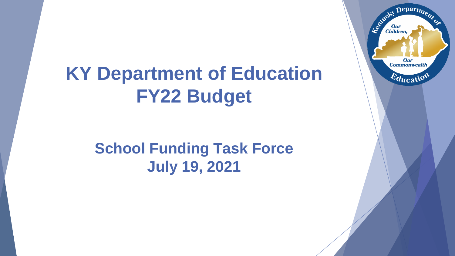#### **KY Department of Education FY22 Budget**

#### **School Funding Task Force July 19, 2021**

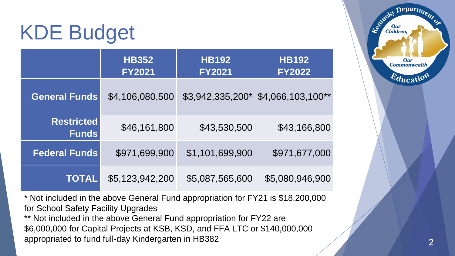#### KDE Budget

|                                   | <b>HB352</b><br><b>FY2021</b> | <b>HB192</b><br><b>FY2021</b> | <b>HB192</b><br><b>FY2022</b> |
|-----------------------------------|-------------------------------|-------------------------------|-------------------------------|
| <b>General Funds</b>              | \$4,106,080,500               | \$3,942,335,200*              | \$4,066,103,100**             |
| <b>Restricted</b><br><b>Funds</b> | \$46,161,800                  | \$43,530,500                  | \$43,166,800                  |
| <b>Federal Funds</b>              | \$971,699,900                 | \$1,101,699,900               | \$971,677,000                 |
| <b>TOTAL</b>                      | \$5,123,942,200               | \$5,087,565,600               | \$5,080,946,900               |

\* Not included in the above General Fund appropriation for FY21 is \$18,200,000 for School Safety Facility Upgrades

\*\* Not included in the above General Fund appropriation for FY22 are \$6,000,000 for Capital Projects at KSB, KSD, and FFA LTC or \$140,000,000 appropriated to fund full-day Kindergarten in HB382

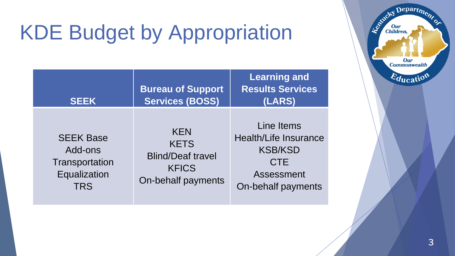# KDE Budget by Appropriation

| <b>SEEK</b>                                                                 | <b>Bureau of Support</b><br><b>Services (BOSS)</b>                                          | <b>Learning and</b><br><b>Results Services</b><br>(LARS)                                                       |
|-----------------------------------------------------------------------------|---------------------------------------------------------------------------------------------|----------------------------------------------------------------------------------------------------------------|
| <b>SEEK Base</b><br>Add-ons<br>Transportation<br>Equalization<br><b>TRS</b> | <b>KEN</b><br><b>KETS</b><br><b>Blind/Deaf travel</b><br><b>KFICS</b><br>On-behalf payments | Line Items<br><b>Health/Life Insurance</b><br><b>KSB/KSD</b><br><b>CTE</b><br>Assessment<br>On-behalf payments |

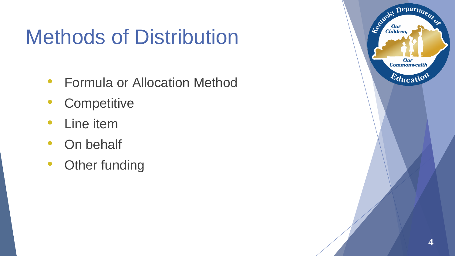#### Methods of Distribution

- Formula or Allocation Method
- Competitive
- Line item
- On behalf
- Other funding

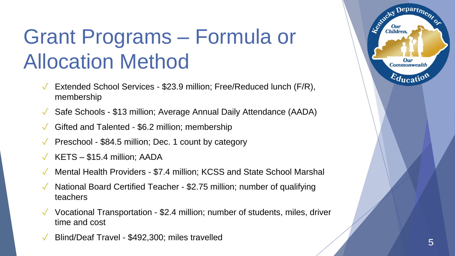## Grant Programs – Formula or Allocation Method

- Extended School Services \$23.9 million; Free/Reduced lunch (F/R), membership
- Safe Schools \$13 million; Average Annual Daily Attendance (AADA)
- Gifted and Talented \$6.2 million; membership
- ✓ Preschool \$84.5 million; Dec. 1 count by category
- KETS \$15.4 million; AADA
- Mental Health Providers \$7.4 million; KCSS and State School Marshal
- National Board Certified Teacher \$2.75 million; number of qualifying teachers
- $\sqrt{\ }$  Vocational Transportation \$2.4 million; number of students, miles, driver time and cost
- ✓ Blind/Deaf Travel \$492,300; miles travelled <sup>5</sup>

Depart<sub>me</sub>

Our **Commonwealth** 

 $E_{\text{ducatio}}$ 

Estucky

**Children**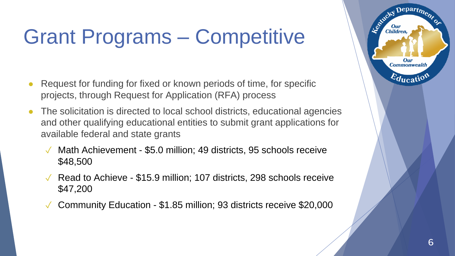# Grant Programs – Competitive

- Request for funding for fixed or known periods of time, for specific projects, through Request for Application (RFA) process
- The solicitation is directed to local school districts, educational agencies and other qualifying educational entities to submit grant applications for available federal and state grants
	- ✓ Math Achievement \$5.0 million; 49 districts, 95 schools receive \$48,500
	- $\sqrt{\phantom{a}}$  Read to Achieve \$15.9 million; 107 districts, 298 schools receive \$47,200
	- $\sqrt{\phantom{0}}$  Community Education \$1.85 million; 93 districts receive \$20,000



 $\mathbf{D}$ epart $\boldsymbol{\eta_2}$ 

**Our Commonwealth** 

 $E_{\text{ducati}}$ 

Leonicky

**Our**<br>Children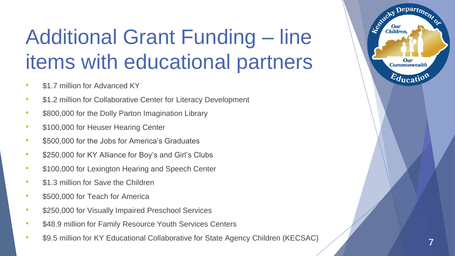# Additional Grant Funding – line items with educational partners

- \$1.7 million for Advanced KY
- \$1.2 million for Collaborative Center for Literacy Development
- \$800,000 for the Dolly Parton Imagination Library
- \$100,000 for Heuser Hearing Center
- \$500,000 for the Jobs for America's Graduates
- \$250,000 for KY Alliance for Boy's and Girl's Clubs
- \$100,000 for Lexington Hearing and Speech Center
- \$1.3 million for Save the Children
- \$500,000 for Teach for America
- \$250,000 for Visually Impaired Preschool Services
- \$48.9 million for Family Resource Youth Services Centers
- \$9.5 million for KY Educational Collaborative for State Agency Children (KECSAC)

Departme.

Our

Entirety I

**Our**<br>Children,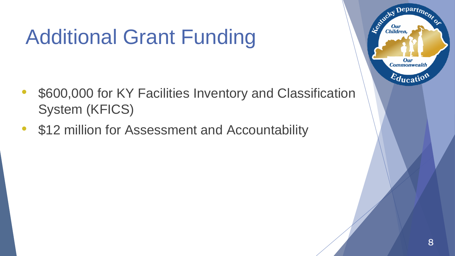# Additional Grant Funding

- \$600,000 for KY Facilities Inventory and Classification System (KFICS)
- \$12 million for Assessment and Accountability

Departme.

**Our Commonwealth** 

 $E_{\text{ducatio}}$ 

Estucky

**Our**<br>Children,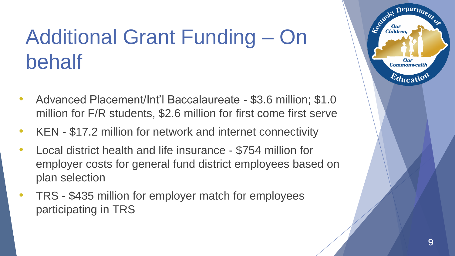# Additional Grant Funding – On behalf

- Advanced Placement/Int'l Baccalaureate \$3.6 million; \$1.0 million for F/R students, \$2.6 million for first come first serve
- KEN \$17.2 million for network and internet connectivity
- Local district health and life insurance \$754 million for employer costs for general fund district employees based on plan selection
- TRS \$435 million for employer match for employees participating in TRS

 $Depart_{D}$ 

Our **Commonwealth** 

 $\varepsilon_{\text{ducati}}$ 

Agencies

**Children**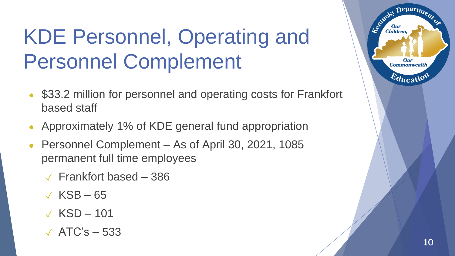# KDE Personnel, Operating and Personnel Complement

- \$33.2 million for personnel and operating costs for Frankfort based staff
- Approximately 1% of KDE general fund appropriation
- Personnel Complement As of April 30, 2021, 1085 permanent full time employees
	- $\sqrt{2}$  Frankfort based 386
	- $\sqrt{KSB-65}$
	- $\sqrt{KSD} 101$
	- $\sqrt{ATC}$ 's  $-533$



Departme.

Our

Established I

Our<br>Children,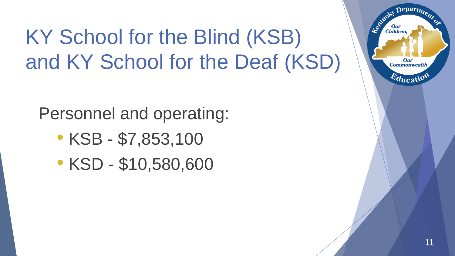# KY School for the Blind (KSB) and KY School for the Deaf (KSD)

Personnel and operating:

- KSB \$7,853,100
- KSD \$10,580,600

Departme,

**Our Commonwealth** 

 $E_{\text{ducati}}$ 

Le Child

**Our**<br>Children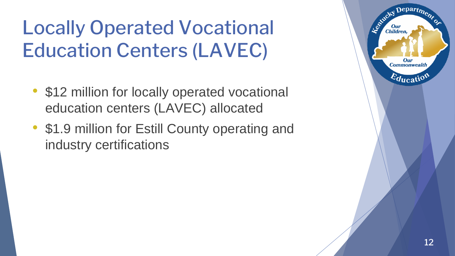#### Locally Operated Vocational Education Centers (LAVEC)

- \$12 million for locally operated vocational education centers (LAVEC) allocated
- \$1.9 million for Estill County operating and industry certifications

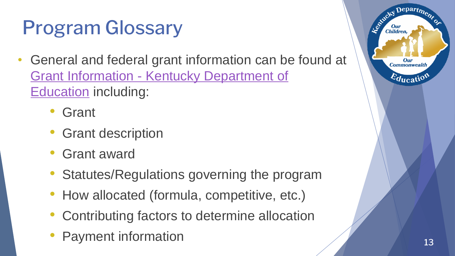#### Program Glossary

- General and federal grant information can be found at Grant Information - [Kentucky Department of](https://education.ky.gov/districts/fin/Pages/Grant Information.aspx)  Education including:
	- **Grant**
	- Grant description
	- Grant award
	- Statutes/Regulations governing the program
	- How allocated (formula, competitive, etc.)
	- Contributing factors to determine allocation
	- Payment information 13



Departme.

Our **Commonwealth** 

 $E_{\text{ducatio}}$ 

**Children**